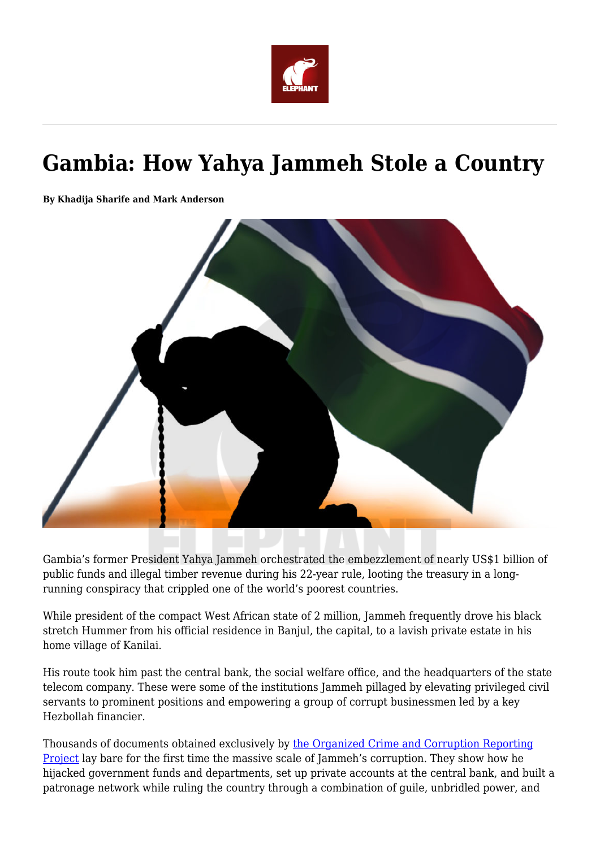

# **Gambia: How Yahya Jammeh Stole a Country**

**By Khadija Sharife and Mark Anderson**



Gambia's former President Yahya Jammeh orchestrated the embezzlement of nearly US\$1 billion of public funds and illegal timber revenue during his 22-year rule, looting the treasury in a longrunning conspiracy that crippled one of the world's poorest countries.

While president of the compact West African state of 2 million, Jammeh frequently drove his black stretch Hummer from his official residence in Banjul, the capital, to a lavish private estate in his home village of Kanilai.

His route took him past the central bank, the social welfare office, and the headquarters of the state telecom company. These were some of the institutions Jammeh pillaged by elevating privileged civil servants to prominent positions and empowering a group of corrupt businessmen led by a key Hezbollah financier.

Thousands of documents obtained exclusively by [the Organized Crime and Corruption Reporting](https://www.occrp.org/en/greatgambiaheist/) [Project](https://www.occrp.org/en/greatgambiaheist/) lay bare for the first time the massive scale of Jammeh's corruption. They show how he hijacked government funds and departments, set up private accounts at the central bank, and built a patronage network while ruling the country through a combination of guile, unbridled power, and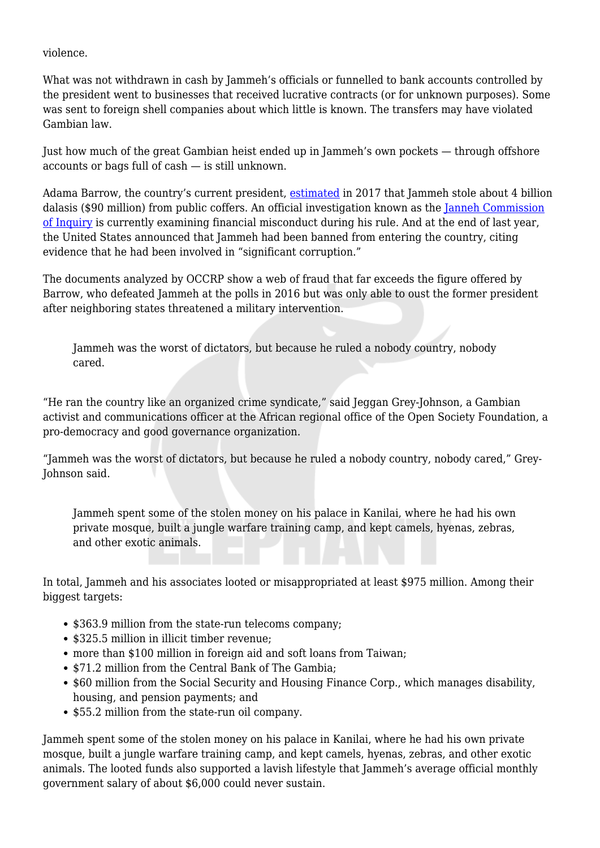violence.

What was not withdrawn in cash by Jammeh's officials or funnelled to bank accounts controlled by the president went to businesses that received lucrative contracts (or for unknown purposes). Some was sent to foreign shell companies about which little is known. The transfers may have violated Gambian law.

Just how much of the great Gambian heist ended up in Jammeh's own pockets — through offshore accounts or bags full of cash — is still unknown.

Adama Barrow, the country's current president, [estimated](https://www.france24.com/en/20170316-video-interview-gambia-adama-barrow-president-yahya-jammeh-icc-africa) in 2017 that Jammeh stole about 4 billion dalasis (\$90 million) from public coffers. An official investigation known as the [Janneh Commission](http://statehouse.gov.gm/president-barrow-swears-commission-enquiry-members) [of Inquiry](http://statehouse.gov.gm/president-barrow-swears-commission-enquiry-members) is currently examining financial misconduct during his rule. And at the end of last year, the United States announced that Jammeh had been banned from entering the country, citing evidence that he had been involved in "significant corruption."

The documents analyzed by OCCRP show a web of fraud that far exceeds the figure offered by Barrow, who defeated Jammeh at the polls in 2016 but was only able to oust the former president after neighboring states threatened a military intervention.

Jammeh was the worst of dictators, but because he ruled a nobody country, nobody cared.

"He ran the country like an organized crime syndicate," said Jeggan Grey-Johnson, a Gambian activist and communications officer at the African regional office of the Open Society Foundation, a pro-democracy and good governance organization.

"Jammeh was the worst of dictators, but because he ruled a nobody country, nobody cared," Grey-Johnson said.

Jammeh spent some of the stolen money on his palace in Kanilai, where he had his own private mosque, built a jungle warfare training camp, and kept camels, hyenas, zebras, and other exotic animals.

In total, Jammeh and his associates looted or misappropriated at least \$975 million. Among their biggest targets:

- \$363.9 million from the state-run telecoms company;
- \$325.5 million in illicit timber revenue;
- more than \$100 million in foreign aid and soft loans from Taiwan;
- \$71.2 million from the Central Bank of The Gambia:
- $\bullet$  \$60 million from the Social Security and Housing Finance Corp., which manages disability, housing, and pension payments; and
- \$55.2 million from the state-run oil company.

Jammeh spent some of the stolen money on his palace in Kanilai, where he had his own private mosque, built a jungle warfare training camp, and kept camels, hyenas, zebras, and other exotic animals. The looted funds also supported a lavish lifestyle that Jammeh's average official monthly government salary of about \$6,000 could never sustain.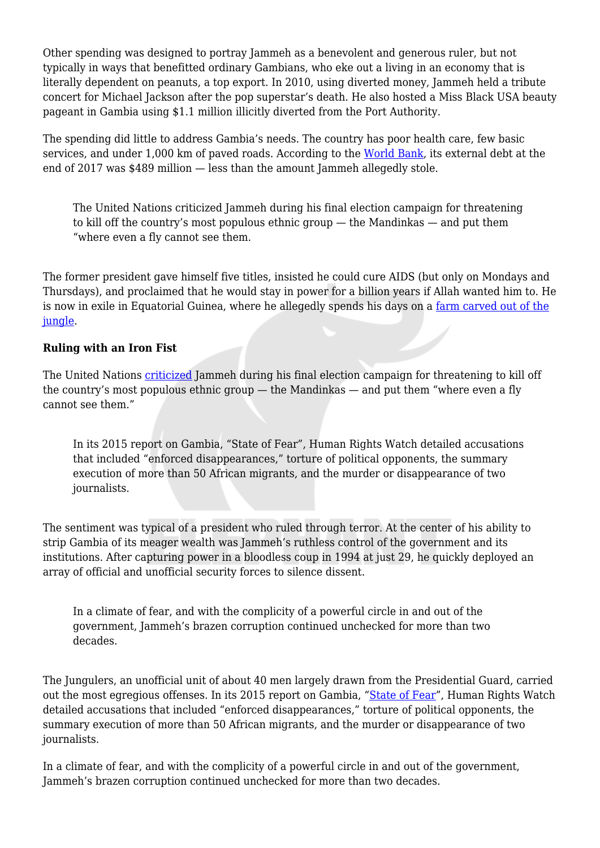Other spending was designed to portray Jammeh as a benevolent and generous ruler, but not typically in ways that benefitted ordinary Gambians, who eke out a living in an economy that is literally dependent on peanuts, a top export. In 2010, using diverted money, Jammeh held a tribute concert for Michael Jackson after the pop superstar's death. He also hosted a Miss Black USA beauty pageant in Gambia using \$1.1 million illicitly diverted from the Port Authority.

The spending did little to address Gambia's needs. The country has poor health care, few basic services, and under 1,000 km of paved roads. According to the [World Bank](http://documents.worldbank.org/curated/en/545741539630784796/pdf/130852-WP-PUBLIC-WBG-Gambia-Debt-Sustainability-Analysis-2018-Update-Final-Oct1518.pdf), its external debt at the end of 2017 was \$489 million — less than the amount Jammeh allegedly stole.

The United Nations criticized Jammeh during his final election campaign for threatening to kill off the country's most populous ethnic group — the Mandinkas — and put them "where even a fly cannot see them.

The former president gave himself five titles, insisted he could cure AIDS (but only on Mondays and Thursdays), and proclaimed that he would stay in power for a billion years if Allah wanted him to. He is now in exile in Equatorial Guinea, where he allegedly spends his days on a [farm carved out of the](https://www.youtube.com/watch?v=2E6zSkX_gZc) [jungle.](https://www.youtube.com/watch?v=2E6zSkX_gZc)

## **Ruling with an Iron Fist**

The United Nations [criticized](https://www.un.org/sg/en/content/sg/note-correspondents/2016-06-10/note-correspondents-statement-special-adviser-prevention) Jammeh during his final election campaign for threatening to kill off the country's most populous ethnic group — the Mandinkas — and put them "where even a fly cannot see them."

In its 2015 report on Gambia, "State of Fear", Human Rights Watch detailed accusations that included "enforced disappearances," torture of political opponents, the summary execution of more than 50 African migrants, and the murder or disappearance of two journalists.

The sentiment was typical of a president who ruled through terror. At the center of his ability to strip Gambia of its meager wealth was Jammeh's ruthless control of the government and its institutions. After capturing power in a bloodless coup in 1994 at just 29, he quickly deployed an array of official and unofficial security forces to silence dissent.

In a climate of fear, and with the complicity of a powerful circle in and out of the government, Jammeh's brazen corruption continued unchecked for more than two decades.

The Jungulers, an unofficial unit of about 40 men largely drawn from the Presidential Guard, carried out the most egregious offenses. In its 2015 report on Gambia, "[State of Fear](https://www.hrw.org/report/2015/09/16/state-fear/arbitrary-arrests-torture-and-killings)", Human Rights Watch detailed accusations that included "enforced disappearances," torture of political opponents, the summary execution of more than 50 African migrants, and the murder or disappearance of two journalists.

In a climate of fear, and with the complicity of a powerful circle in and out of the government, Jammeh's brazen corruption continued unchecked for more than two decades.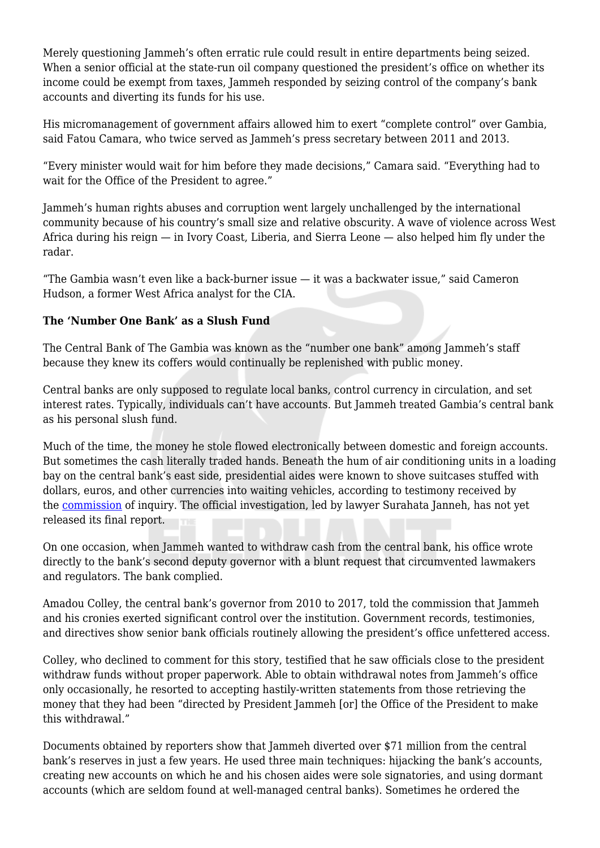Merely questioning Jammeh's often erratic rule could result in entire departments being seized. When a senior official at the state-run oil company questioned the president's office on whether its income could be exempt from taxes, Jammeh responded by seizing control of the company's bank accounts and diverting its funds for his use.

His micromanagement of government affairs allowed him to exert "complete control" over Gambia, said Fatou Camara, who twice served as Jammeh's press secretary between 2011 and 2013.

"Every minister would wait for him before they made decisions," Camara said. "Everything had to wait for the Office of the President to agree."

Jammeh's human rights abuses and corruption went largely unchallenged by the international community because of his country's small size and relative obscurity. A wave of violence across West Africa during his reign — in Ivory Coast, Liberia, and Sierra Leone — also helped him fly under the radar.

"The Gambia wasn't even like a back-burner issue — it was a backwater issue," said Cameron Hudson, a former West Africa analyst for the CIA.

## **The 'Number One Bank' as a Slush Fund**

The Central Bank of The Gambia was known as the "number one bank" among Jammeh's staff because they knew its coffers would continually be replenished with public money.

Central banks are only supposed to regulate local banks, control currency in circulation, and set interest rates. Typically, individuals can't have accounts. But Jammeh treated Gambia's central bank as his personal slush fund.

Much of the time, the money he stole flowed electronically between domestic and foreign accounts. But sometimes the cash literally traded hands. Beneath the hum of air conditioning units in a loading bay on the central bank's east side, presidential aides were known to shove suitcases stuffed with dollars, euros, and other currencies into waiting vehicles, according to testimony received by the [commission](https://statehouse.gov.gm/president-barrow-swears-commission-enquiry-members) of inquiry. The official investigation, led by lawyer Surahata Janneh, has not yet released its final report.

On one occasion, when Jammeh wanted to withdraw cash from the central bank, his office wrote directly to the bank's second deputy governor with a blunt request that circumvented lawmakers and regulators. The bank complied.

Amadou Colley, the central bank's governor from 2010 to 2017, told the commission that Jammeh and his cronies exerted significant control over the institution. Government records, testimonies, and directives show senior bank officials routinely allowing the president's office unfettered access.

Colley, who declined to comment for this story, testified that he saw officials close to the president withdraw funds without proper paperwork. Able to obtain withdrawal notes from Jammeh's office only occasionally, he resorted to accepting hastily-written statements from those retrieving the money that they had been "directed by President Jammeh [or] the Office of the President to make this withdrawal."

Documents obtained by reporters show that Jammeh diverted over \$71 million from the central bank's reserves in just a few years. He used three main techniques: hijacking the bank's accounts, creating new accounts on which he and his chosen aides were sole signatories, and using dormant accounts (which are seldom found at well-managed central banks). Sometimes he ordered the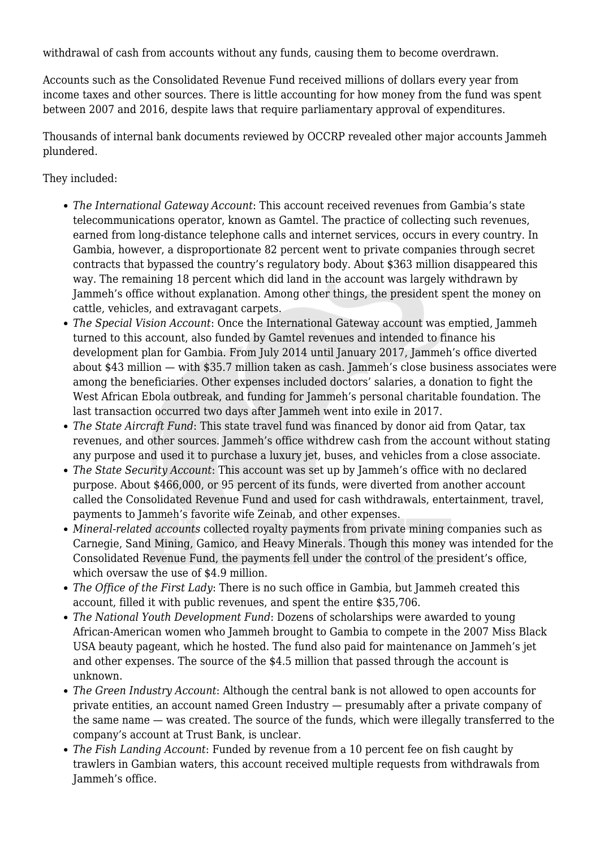withdrawal of cash from accounts without any funds, causing them to become overdrawn.

Accounts such as the Consolidated Revenue Fund received millions of dollars every year from income taxes and other sources. There is little accounting for how money from the fund was spent between 2007 and 2016, despite laws that require parliamentary approval of expenditures.

Thousands of internal bank documents reviewed by OCCRP revealed other major accounts Jammeh plundered.

They included:

- *The International Gateway Account*: This account received revenues from Gambia's state telecommunications operator, known as Gamtel. The practice of collecting such revenues, earned from long-distance telephone calls and internet services, occurs in every country. In Gambia, however, a disproportionate 82 percent went to private companies through secret contracts that bypassed the country's regulatory body. About \$363 million disappeared this way. The remaining 18 percent which did land in the account was largely withdrawn by Jammeh's office without explanation. Among other things, the president spent the money on cattle, vehicles, and extravagant carpets.
- *The Special Vision Account*: Once the International Gateway account was emptied, Jammeh turned to this account, also funded by Gamtel revenues and intended to finance his development plan for Gambia. From July 2014 until January 2017, Jammeh's office diverted about \$43 million — with \$35.7 million taken as cash. Jammeh's close business associates were among the beneficiaries. Other expenses included doctors' salaries, a donation to fight the West African Ebola outbreak, and funding for Jammeh's personal charitable foundation. The last transaction occurred two days after Jammeh went into exile in 2017.
- *The State Aircraft Fund*: This state travel fund was financed by donor aid from Qatar, tax revenues, and other sources. Jammeh's office withdrew cash from the account without stating any purpose and used it to purchase a luxury jet, buses, and vehicles from a close associate.
- *The State Security Account*: This account was set up by Jammeh's office with no declared purpose. About \$466,000, or 95 percent of its funds, were diverted from another account called the Consolidated Revenue Fund and used for cash withdrawals, entertainment, travel, payments to Jammeh's favorite wife Zeinab, and other expenses.
- *Mineral-related accounts* collected royalty payments from private mining companies such as Carnegie, Sand Mining, Gamico, and Heavy Minerals. Though this money was intended for the Consolidated Revenue Fund, the payments fell under the control of the president's office, which oversaw the use of \$4.9 million.
- *The Office of the First Lady*: There is no such office in Gambia, but Jammeh created this account, filled it with public revenues, and spent the entire \$35,706.
- *The National Youth Development Fund*: Dozens of scholarships were awarded to young African-American women who Jammeh brought to Gambia to compete in the 2007 Miss Black USA beauty pageant, which he hosted. The fund also paid for maintenance on Jammeh's jet and other expenses. The source of the \$4.5 million that passed through the account is unknown.
- *The Green Industry Account*: Although the central bank is not allowed to open accounts for private entities, an account named Green Industry — presumably after a private company of the same name — was created. The source of the funds, which were illegally transferred to the company's account at Trust Bank, is unclear.
- *The Fish Landing Account*: Funded by revenue from a 10 percent fee on fish caught by trawlers in Gambian waters, this account received multiple requests from withdrawals from Jammeh's office.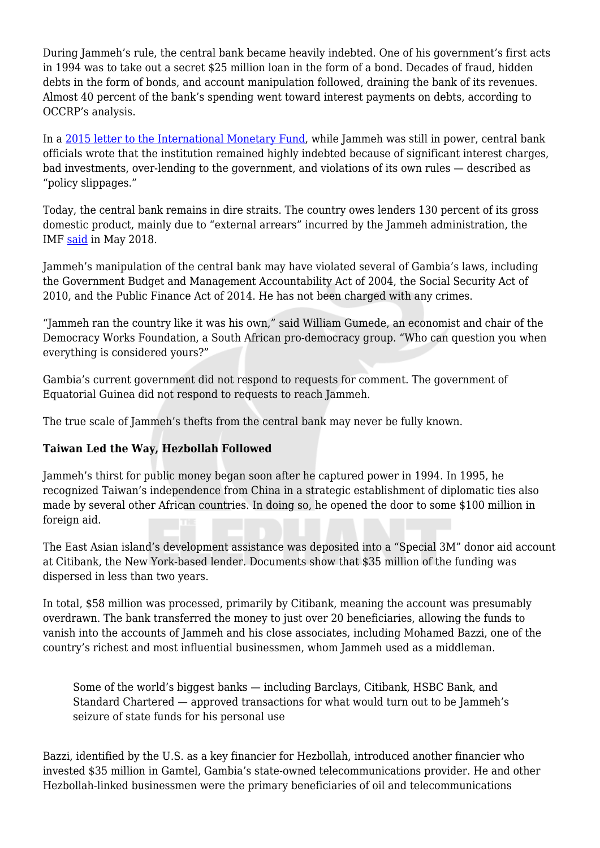During Jammeh's rule, the central bank became heavily indebted. One of his government's first acts in 1994 was to take out a secret \$25 million loan in the form of a bond. Decades of fraud, hidden debts in the form of bonds, and account manipulation followed, draining the bank of its revenues. Almost 40 percent of the bank's spending went toward interest payments on debts, according to OCCRP's analysis.

In a [2015 letter to the International Monetary Fund,](https://www.occrp.org/documents/greatgambiaheist/Letter%20of%20intent%20to%20IMF_2015.pdf) while Jammeh was still in power, central bank officials wrote that the institution remained highly indebted because of significant interest charges, bad investments, over-lending to the government, and violations of its own rules — described as "policy slippages."

Today, the central bank remains in dire straits. The country owes lenders 130 percent of its gross domestic product, mainly due to "external arrears" incurred by the Jammeh administration, the IMF [said](https://www.imf.org/en/News/Articles/2018/05/09/pr18166-imf-staff-concludes-visit-to-the-gambia) in May 2018.

Jammeh's manipulation of the central bank may have violated several of Gambia's laws, including the Government Budget and Management Accountability Act of 2004, the Social Security Act of 2010, and the Public Finance Act of 2014. He has not been charged with any crimes.

"Jammeh ran the country like it was his own," said William Gumede, an economist and chair of the Democracy Works Foundation, a South African pro-democracy group. "Who can question you when everything is considered yours?"

Gambia's current government did not respond to requests for comment. The government of Equatorial Guinea did not respond to requests to reach Jammeh.

The true scale of Jammeh's thefts from the central bank may never be fully known.

## **Taiwan Led the Way, Hezbollah Followed**

Jammeh's thirst for public money began soon after he captured power in 1994. In 1995, he recognized Taiwan's independence from China in a strategic establishment of diplomatic ties also made by several other African countries. In doing so, he opened the door to some \$100 million in foreign aid.

The East Asian island's development assistance was deposited into a "Special 3M" donor aid account at Citibank, the New York-based lender. Documents show that \$35 million of the funding was dispersed in less than two years.

In total, \$58 million was processed, primarily by Citibank, meaning the account was presumably overdrawn. The bank transferred the money to just over 20 beneficiaries, allowing the funds to vanish into the accounts of Jammeh and his close associates, including Mohamed Bazzi, one of the country's richest and most influential businessmen, whom Jammeh used as a middleman.

Some of the world's biggest banks — including Barclays, Citibank, HSBC Bank, and Standard Chartered — approved transactions for what would turn out to be Jammeh's seizure of state funds for his personal use

Bazzi, identified by the U.S. as a key financier for Hezbollah, introduced another financier who invested \$35 million in Gamtel, Gambia's state-owned telecommunications provider. He and other Hezbollah-linked businessmen were the primary beneficiaries of oil and telecommunications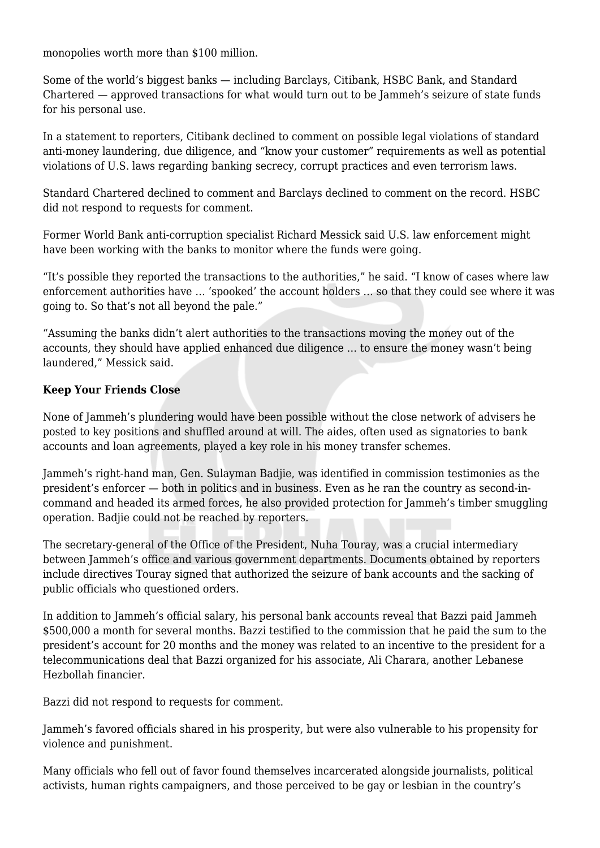monopolies worth more than \$100 million.

Some of the world's biggest banks — including Barclays, Citibank, HSBC Bank, and Standard Chartered — approved transactions for what would turn out to be Jammeh's seizure of state funds for his personal use.

In a statement to reporters, Citibank declined to comment on possible legal violations of standard anti-money laundering, due diligence, and "know your customer" requirements as well as potential violations of U.S. laws regarding banking secrecy, corrupt practices and even terrorism laws.

Standard Chartered declined to comment and Barclays declined to comment on the record. HSBC did not respond to requests for comment.

Former World Bank anti-corruption specialist Richard Messick said U.S. law enforcement might have been working with the banks to monitor where the funds were going.

"It's possible they reported the transactions to the authorities," he said. "I know of cases where law enforcement authorities have … 'spooked' the account holders … so that they could see where it was going to. So that's not all beyond the pale."

"Assuming the banks didn't alert authorities to the transactions moving the money out of the accounts, they should have applied enhanced due diligence … to ensure the money wasn't being laundered," Messick said.

#### **Keep Your Friends Close**

None of Jammeh's plundering would have been possible without the close network of advisers he posted to key positions and shuffled around at will. The aides, often used as signatories to bank accounts and loan agreements, played a key role in his money transfer schemes.

Jammeh's right-hand man, Gen. Sulayman Badjie, was identified in commission testimonies as the president's enforcer — both in politics and in business. Even as he ran the country as second-incommand and headed its armed forces, he also provided protection for Jammeh's timber smuggling operation. Badjie could not be reached by reporters.

The secretary-general of the Office of the President, Nuha Touray, was a crucial intermediary between Jammeh's office and various government departments. Documents obtained by reporters include directives Touray signed that authorized the seizure of bank accounts and the sacking of public officials who questioned orders.

In addition to Jammeh's official salary, his personal bank accounts reveal that Bazzi paid Jammeh \$500,000 a month for several months. Bazzi testified to the commission that he paid the sum to the president's account for 20 months and the money was related to an incentive to the president for a telecommunications deal that Bazzi organized for his associate, Ali Charara, another Lebanese Hezbollah financier.

Bazzi did not respond to requests for comment.

Jammeh's favored officials shared in his prosperity, but were also vulnerable to his propensity for violence and punishment.

Many officials who fell out of favor found themselves incarcerated alongside journalists, political activists, human rights campaigners, and those perceived to be gay or lesbian in the country's